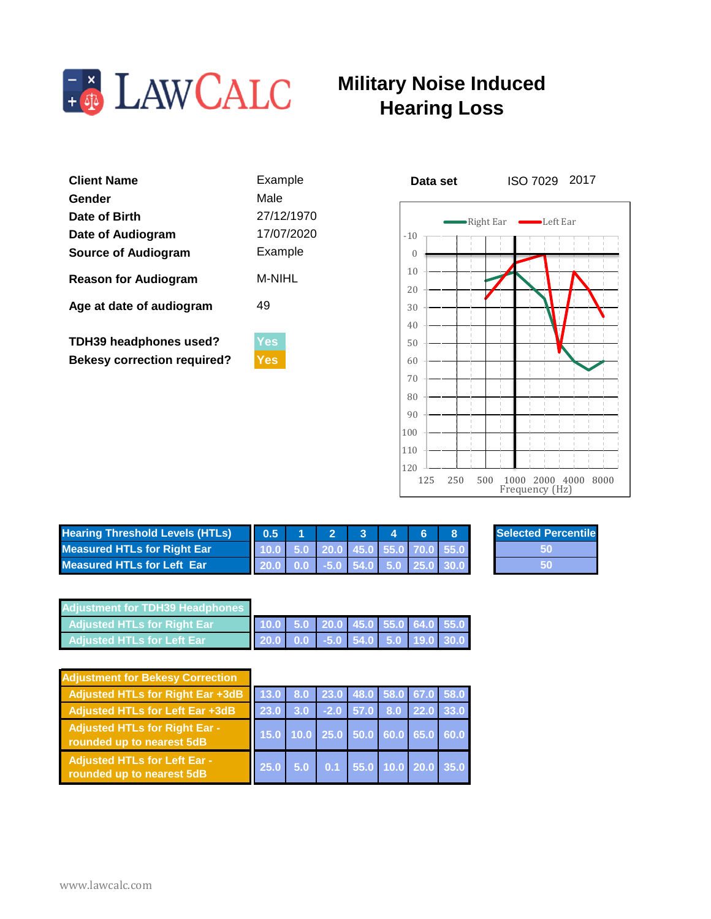

## **Military Noise Induced Hearing Loss**

| <b>Client Name</b><br>Gender                                        | Example<br>Male          | ISO 7029<br>Data set                             |  |
|---------------------------------------------------------------------|--------------------------|--------------------------------------------------|--|
| Date of Birth<br>Date of Audiogram                                  | 27/12/1970<br>17/07/2020 | •Right Ear<br>$\mathsf{\textbf{-}Left}$<br>$-10$ |  |
| <b>Source of Audiogram</b>                                          | Example                  | 10                                               |  |
| <b>Reason for Audiogram</b>                                         | M-NIHL                   | 20                                               |  |
| Age at date of audiogram                                            | 49                       | 30<br>40                                         |  |
| <b>TDH39 headphones used?</b><br><b>Bekesy correction required?</b> | <b>Yes</b><br><b>Yes</b> | 50<br>60                                         |  |
|                                                                     |                          |                                                  |  |



ISO 7029 2017

**Percentile** 

| <b>Hearing Threshold Levels (HTLs)</b> | 0.5 | $\sim$                              |  |  | <b>Selected P</b> |
|----------------------------------------|-----|-------------------------------------|--|--|-------------------|
| <b>Measured HTLs for Right Ear</b>     |     | $10.0$ 5.0 20.0 45.0 55.0 70.0 55.0 |  |  |                   |
| <b>Measured HTLs for Left Ear</b>      |     |                                     |  |  |                   |
|                                        |     |                                     |  |  |                   |

| <b>Adiustment for TDH39 Headphones</b> |  |  |  |                                   |
|----------------------------------------|--|--|--|-----------------------------------|
| <b>Adjusted HTLs for Right Ear</b>     |  |  |  | 10.0 5.0 20.0 45.0 55.0 64.0 55.0 |
| <b>Adiusted HTLs for Left Ear</b>      |  |  |  |                                   |

| <b>Adjustment for Bekesy Correction</b>                          |                                    |  |  |  |
|------------------------------------------------------------------|------------------------------------|--|--|--|
| Adjusted HTLs for Right Ear +3dB                                 | 13.0 8.0 23.0 48.0 58.0 67.0 58.0  |  |  |  |
| Adjusted HTLs for Left Ear +3dB                                  |                                    |  |  |  |
| Adjusted HTLs for Right Ear -<br>rounded up to nearest 5dB       | 15.0 10.0 25.0 50.0 60.0 65.0 60.0 |  |  |  |
| <b>Adjusted HTLs for Left Ear -</b><br>rounded up to nearest 5dB | 25.0 5.0 0.1 55.0 10.0 20.0 35.0   |  |  |  |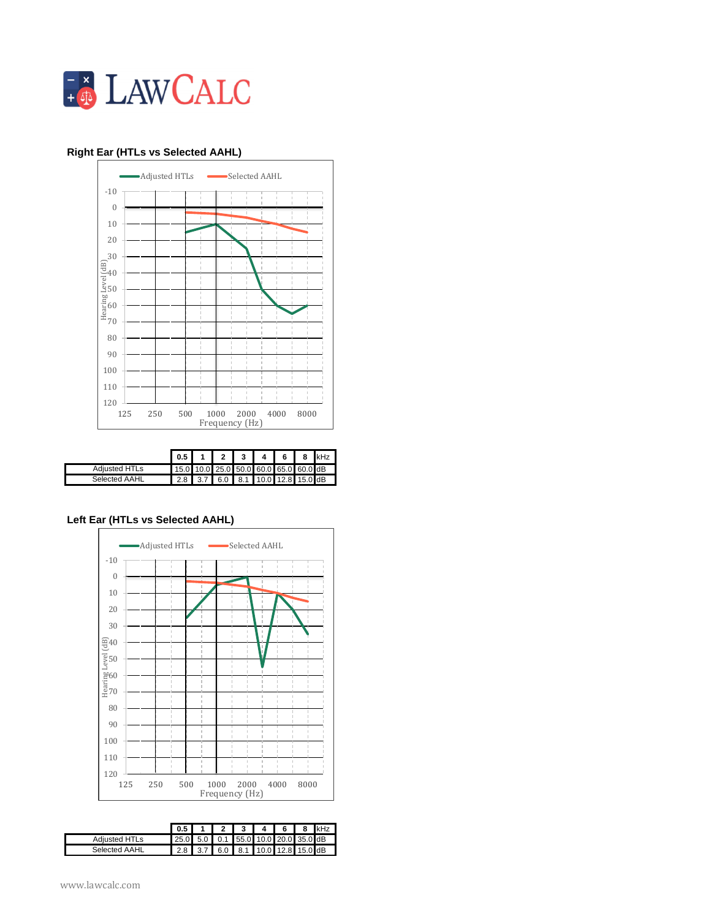

## **1 & 8 Right Ear (HTLs vs Selected AAHL) Right Ear 2nd pass (HTLs vs Modified AAHL)**



|                      | $0.5$ I                               |  | 2 3 1 | 14 I 6 I                  | - 8 | kHz |
|----------------------|---------------------------------------|--|-------|---------------------------|-----|-----|
| <b>Adiusted HTLs</b> | 15.0 10.0 25.0 50.0 60.0 65.0 60.0 dB |  |       |                           |     |     |
| <b>Selected AAHL</b> | $2.8$ 3.7                             |  |       | 6.0 8.1 10.0 12.8 15.0 dB |     |     |

## **Left Ear (HTLs vs Selected AAHL)**



|                      | $0.5 \mid$                          |           |                             | $\mathbf{A}$ | 8 | kHz |
|----------------------|-------------------------------------|-----------|-----------------------------|--------------|---|-----|
| <b>Adiusted HTLs</b> | 25.0 5.0 0.1 55.0 10.0 20.0 35.0 dB |           |                             |              |   |     |
| <b>Selected AAHL</b> |                                     | $2.8$ 3.7 | $6.0$ 8.1 10.0 12.8 15.0 dB |              |   |     |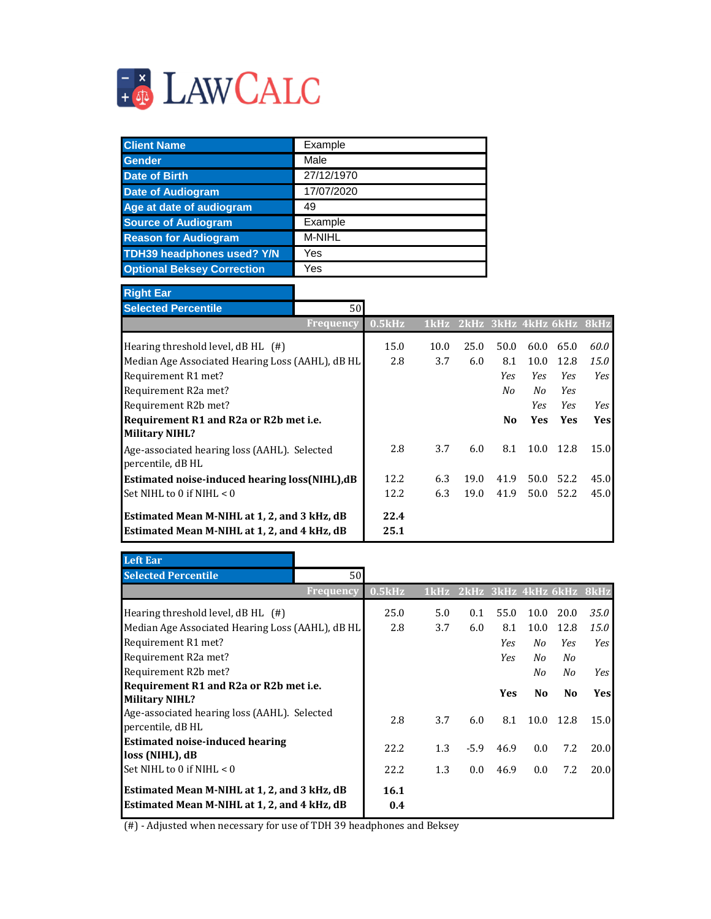

| <b>Client Name</b>                | Example       |
|-----------------------------------|---------------|
| <b>Gender</b>                     | Male          |
| <b>Date of Birth</b>              | 27/12/1970    |
| <b>Date of Audiogram</b>          | 17/07/2020    |
| Age at date of audiogram          | 49            |
| <b>Source of Audiogram</b>        | Example       |
| <b>Reason for Audiogram</b>       | <b>M-NIHL</b> |
| <b>TDH39 headphones used? Y/N</b> | Yes           |
| <b>Optional Beksey Correction</b> | Yes           |

ä,

| <b>Right Ear</b>                                                  |                  |        |      |                               |                |            |            |      |
|-------------------------------------------------------------------|------------------|--------|------|-------------------------------|----------------|------------|------------|------|
| <b>Selected Percentile</b>                                        | 50 <sup>l</sup>  |        |      |                               |                |            |            |      |
|                                                                   | <b>Frequency</b> | 0.5kHz |      | 1kHz 2kHz 3kHz 4kHz 6kHz 8kHz |                |            |            |      |
| Hearing threshold level, $dBHL$ (#)                               |                  | 15.0   | 10.0 | 25.0                          | 50.0           | 60.0       | 65.0       | 60.0 |
| Median Age Associated Hearing Loss (AAHL), dB HL                  |                  | 2.8    | 3.7  | 6.0                           | 8.1            | 10.0       | 12.8       | 15.0 |
| Requirement R1 met?                                               |                  |        |      |                               | Yes            | Yes.       | <b>Yes</b> | Yes  |
| Requirement R2a met?                                              |                  |        |      |                               | No             | No         | Yes.       |      |
| Requirement R2b met?                                              |                  |        |      |                               |                | <b>Yes</b> | <b>Yes</b> | Yes  |
| Requirement R1 and R2a or R2b met i.e.<br><b>Military NIHL?</b>   |                  |        |      |                               | N <sub>0</sub> | <b>Yes</b> | <b>Yes</b> | Yesl |
| Age-associated hearing loss (AAHL). Selected<br>percentile, dB HL |                  | 2.8    | 3.7  | 6.0                           | 8.1            | 10.0       | -12.8      | 15.0 |
| Estimated noise-induced hearing loss(NIHL),dB                     |                  | 12.2   | 6.3  | 19.0                          | 41.9           | 50.0       | 52.2       | 45.0 |
| Set NIHL to 0 if NIHL $< 0$                                       |                  | 12.2   | 6.3  | 19.0                          | 41.9           | 50.0       | 52.2       | 45.0 |
| Estimated Mean M-NIHL at 1, 2, and 3 kHz, dB                      |                  | 22.4   |      |                               |                |            |            |      |
| Estimated Mean M-NIHL at 1, 2, and 4 kHz, dB                      |                  | 25.1   |      |                               |                |            |            |      |

| <b>Left Ear</b>                                                                              |                  |             |      |        |            |                |                          |             |
|----------------------------------------------------------------------------------------------|------------------|-------------|------|--------|------------|----------------|--------------------------|-------------|
| <b>Selected Percentile</b>                                                                   | 50               |             |      |        |            |                |                          |             |
|                                                                                              | <b>Frequency</b> | 0.5kHz      | 1kHz |        |            |                | 2kHz 3kHz 4kHz 6kHz 8kHz |             |
| Hearing threshold level, $dB$ HL $(\#)$                                                      |                  | 25.0        | 5.0  | 0.1    | 55.0       | 10.0           | 20.0                     | <i>35.0</i> |
| Median Age Associated Hearing Loss (AAHL), dB HL                                             |                  | 2.8         | 3.7  | 6.0    | 8.1        | 10.0           | 12.8                     | 15.0        |
| Requirement R1 met?                                                                          |                  |             |      |        | Yes.       | No             | Yes                      | Yes         |
| Requirement R2a met?                                                                         |                  |             |      |        | Yes        | No             | No                       |             |
| Requirement R2b met?                                                                         |                  |             |      |        |            | No             | No                       | <b>Yes</b>  |
| Requirement R1 and R2a or R2b met i.e.                                                       |                  |             |      |        | <b>Yes</b> | N <sub>0</sub> | N <sub>0</sub>           | Yesl        |
| <b>Military NIHL?</b>                                                                        |                  |             |      |        |            |                |                          |             |
| Age-associated hearing loss (AAHL). Selected<br>percentile, dB HL                            |                  | 2.8         | 3.7  | 6.0    | 8.1        | 10.0           | 12.8                     | 15.0        |
| <b>Estimated noise-induced hearing</b><br>loss (NIHL), dB                                    |                  | 22.2        | 1.3  | $-5.9$ | 46.9       | 0.0            | 7.2                      | 20.0        |
| Set NIHL to 0 if NIHL $< 0$                                                                  |                  | 22.2        | 1.3  | 0.0    | 46.9       | 0.0            | 7.2                      | 20.0        |
| Estimated Mean M-NIHL at 1, 2, and 3 kHz, dB<br>Estimated Mean M-NIHL at 1, 2, and 4 kHz, dB |                  | 16.1<br>0.4 |      |        |            |                |                          |             |

(#) - Adjusted when necessary for use of TDH 39 headphones and Beksey